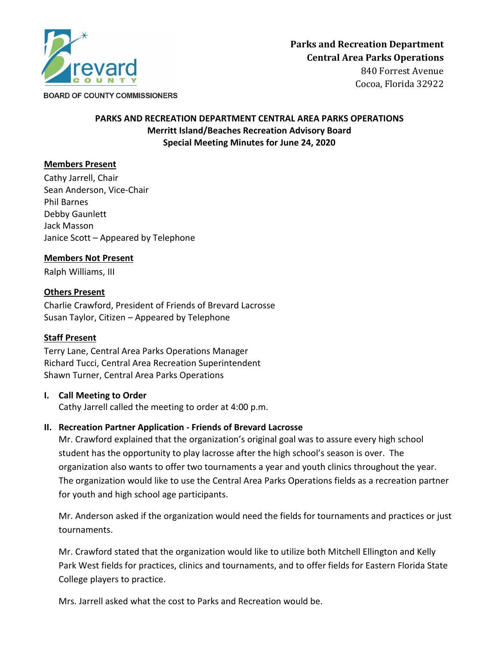

**BOARD OF COUNTY COMMISSIONERS** 

# **PARKS AND RECREATION DEPARTMENT CENTRAL AREA PARKS OPERATIONS Merritt Island/Beaches Recreation Advisory Board Special Meeting Minutes for June 24, 2020**

# **Members Present**

Cathy Jarrell, Chair Sean Anderson, Vice-Chair Phil Barnes Debby Gaunlett Jack Masson Janice Scott – Appeared by Telephone

# **Members Not Present**

Ralph Williams, III

### **Others Present**

Charlie Crawford, President of Friends of Brevard Lacrosse Susan Taylor, Citizen – Appeared by Telephone

#### **Staff Present**

Terry Lane, Central Area Parks Operations Manager Richard Tucci, Central Area Recreation Superintendent Shawn Turner, Central Area Parks Operations

#### **I. Call Meeting to Order**

Cathy Jarrell called the meeting to order at 4:00 p.m.

# **II. Recreation Partner Application - Friends of Brevard Lacrosse**

Mr. Crawford explained that the organization's original goal was to assure every high school student has the opportunity to play lacrosse after the high school's season is over. The organization also wants to offer two tournaments a year and youth clinics throughout the year. The organization would like to use the Central Area Parks Operations fields as a recreation partner for youth and high school age participants.

Mr. Anderson asked if the organization would need the fields for tournaments and practices or just tournaments.

Mr. Crawford stated that the organization would like to utilize both Mitchell Ellington and Kelly Park West fields for practices, clinics and tournaments, and to offer fields for Eastern Florida State College players to practice.

Mrs. Jarrell asked what the cost to Parks and Recreation would be.